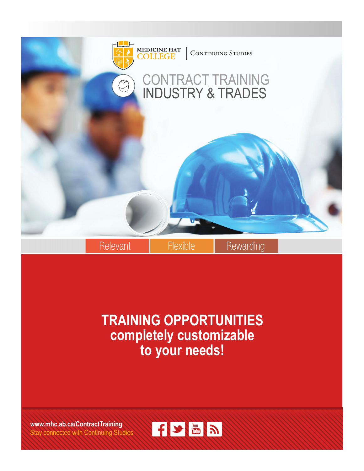

## **TRAINING OPPORTUNITIES completely customizable to your needs!**

**www.mhc.ab.ca/ContractTraining** Stay connected with Continuing Studies